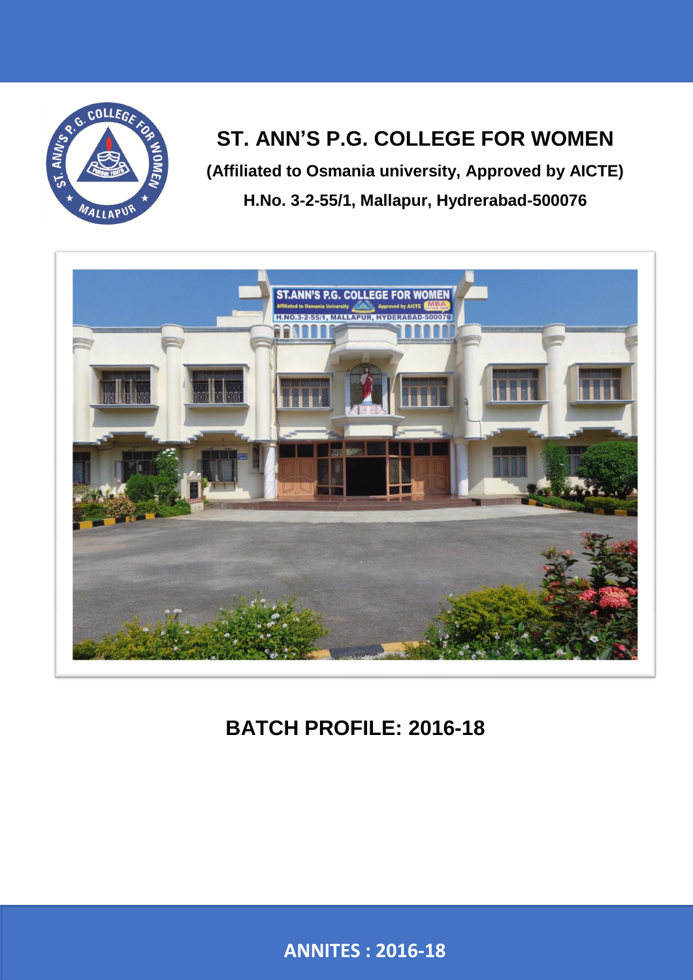

# **ST. ANN'S P.G. COLLEGE FOR WOMEN**

**(Affiliated to Osmania university, Approved by AICTE) H.No. 3-2-55/1, Mallapur, Hydrerabad-500076**



# **BATCH PROFILE: 2016-18**

**ANNITES – 2016-18 ANNITES : 2016-18**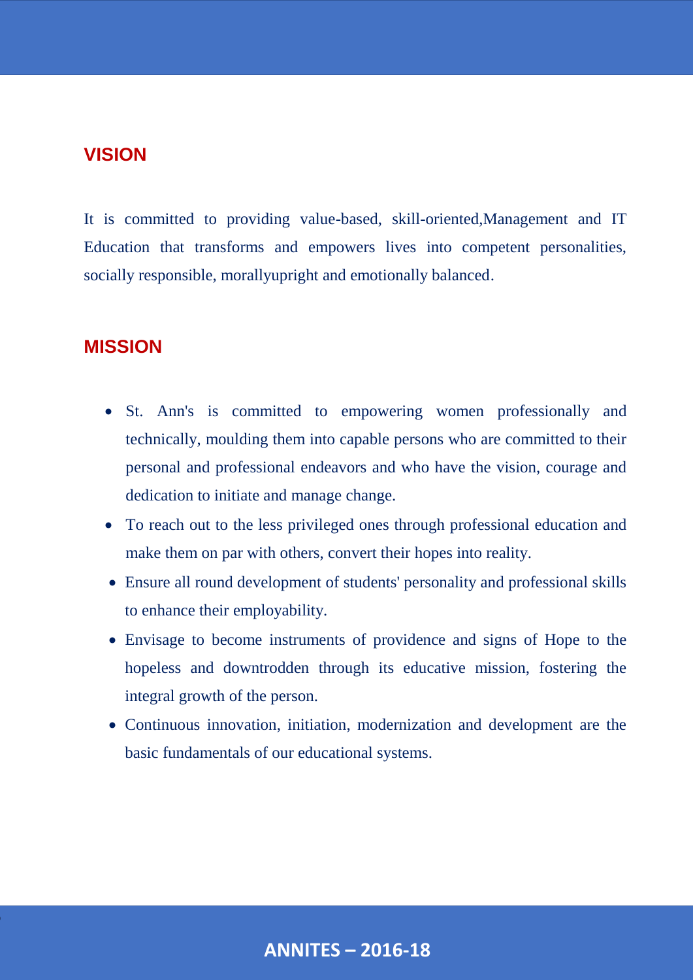## **VISION**

It is committed to providing value-based, skill-oriented,Management and IT Education that transforms and empowers lives into competent personalities, socially responsible, morallyupright and emotionally balanced.

## **MISSION**

- St. Ann's is committed to empowering women professionally and technically, moulding them into capable persons who are committed to their personal and professional endeavors and who have the vision, courage and dedication to initiate and manage change.
- To reach out to the less privileged ones through professional education and make them on par with others, convert their hopes into reality.
- Ensure all round development of students' personality and professional skills to enhance their employability.
- Envisage to become instruments of providence and signs of Hope to the hopeless and downtrodden through its educative mission, fostering the integral growth of the person.
- Continuous innovation, initiation, modernization and development are the basic fundamentals of our educational systems.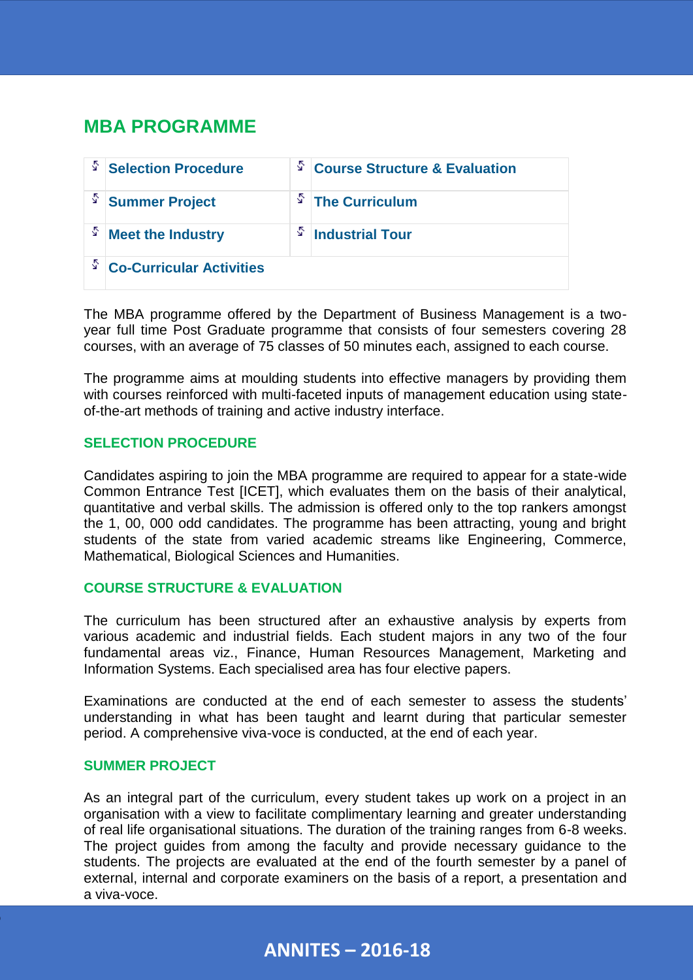## **MBA PROGRAMME**

| s  | <b>Selection Procedure</b>      | δ. | <b>Course Structure &amp; Evaluation</b> |
|----|---------------------------------|----|------------------------------------------|
| Ý, | <b>Summer Project</b>           | s  | <b>The Curriculum</b>                    |
|    | <b>Meet the Industry</b>        | S  | <b>Industrial Tour</b>                   |
| Ý, | <b>Co-Curricular Activities</b> |    |                                          |

The MBA programme offered by the Department of Business Management is a twoyear full time Post Graduate programme that consists of four semesters covering 28 courses, with an average of 75 classes of 50 minutes each, assigned to each course.

The programme aims at moulding students into effective managers by providing them with courses reinforced with multi-faceted inputs of management education using stateof-the-art methods of training and active industry interface.

#### **SELECTION PROCEDURE**

Candidates aspiring to join the MBA programme are required to appear for a state-wide Common Entrance Test [ICET], which evaluates them on the basis of their analytical, quantitative and verbal skills. The admission is offered only to the top rankers amongst the 1, 00, 000 odd candidates. The programme has been attracting, young and bright students of the state from varied academic streams like Engineering, Commerce, Mathematical, Biological Sciences and Humanities.

#### **COURSE STRUCTURE & EVALUATION**

The curriculum has been structured after an exhaustive analysis by experts from various academic and industrial fields. Each student majors in any two of the four fundamental areas viz., Finance, Human Resources Management, Marketing and Information Systems. Each specialised area has four elective papers.

Examinations are conducted at the end of each semester to assess the students' understanding in what has been taught and learnt during that particular semester period. A comprehensive viva-voce is conducted, at the end of each year.

#### **SUMMER PROJECT**

As an integral part of the curriculum, every student takes up work on a project in an organisation with a view to facilitate complimentary learning and greater understanding of real life organisational situations. The duration of the training ranges from 6-8 weeks. The project guides from among the faculty and provide necessary guidance to the students. The projects are evaluated at the end of the fourth semester by a panel of external, internal and corporate examiners on the basis of a report, a presentation and a viva-voce.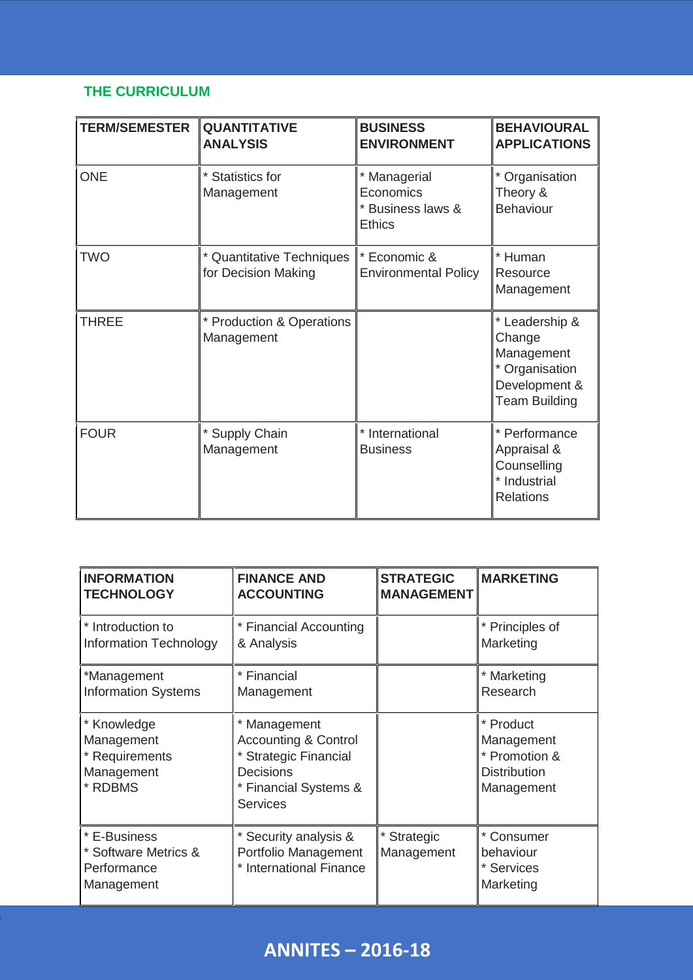## **THE CURRICULUM**

| <b>TERM/SEMESTER</b> | <b>QUANTITATIVE</b><br><b>ANALYSIS</b>           | <b>BUSINESS</b><br><b>ENVIRONMENT</b>                           | <b>BEHAVIOURAL</b><br><b>APPLICATIONS</b>                                                         |
|----------------------|--------------------------------------------------|-----------------------------------------------------------------|---------------------------------------------------------------------------------------------------|
| <b>ONE</b>           | * Statistics for<br>Management                   | * Managerial<br>Economics<br>* Business laws &<br><b>Ethics</b> | * Organisation<br>Theory &<br><b>Behaviour</b>                                                    |
| <b>TWO</b>           | * Quantitative Techniques<br>for Decision Making | * Economic &<br><b>Environmental Policy</b>                     | * Human<br>Resource<br>Management                                                                 |
| <b>THREE</b>         | * Production & Operations<br>Management          |                                                                 | * Leadership &<br>Change<br>Management<br>* Organisation<br>Development &<br><b>Team Building</b> |
| <b>FOUR</b>          | * Supply Chain<br>Management                     | * International<br><b>Business</b>                              | * Performance<br>Appraisal &<br>Counselling<br>* Industrial<br><b>Relations</b>                   |

| <b>INFORMATION</b>                                                   | <b>FINANCE AND</b>                                                                                                                     | <b>STRATEGIC</b>          | <b>MARKETING</b>                                                              |
|----------------------------------------------------------------------|----------------------------------------------------------------------------------------------------------------------------------------|---------------------------|-------------------------------------------------------------------------------|
| <b>TECHNOLOGY</b>                                                    | <b>ACCOUNTING</b>                                                                                                                      | <b>MANAGEMENT</b>         |                                                                               |
| * Introduction to                                                    | * Financial Accounting                                                                                                                 |                           | * Principles of                                                               |
| <b>Information Technology</b>                                        | & Analysis                                                                                                                             |                           | Marketing                                                                     |
| *Management                                                          | * Financial                                                                                                                            |                           | * Marketing                                                                   |
| <b>Information Systems</b>                                           | Management                                                                                                                             |                           | Research                                                                      |
| * Knowledge<br>Management<br>* Requirements<br>Management<br>* RDBMS | Management<br><b>Accounting &amp; Control</b><br>* Strategic Financial<br><b>Decisions</b><br>* Financial Systems &<br><b>Services</b> |                           | * Product<br>Management<br>* Promotion &<br><b>Distribution</b><br>Management |
| * E-Business<br>* Software Metrics &<br>Performance<br>Management    | * Security analysis &<br>Portfolio Management<br>* International Finance                                                               | * Strategic<br>Management | * Consumer<br>behaviour<br>* Services<br>Marketing                            |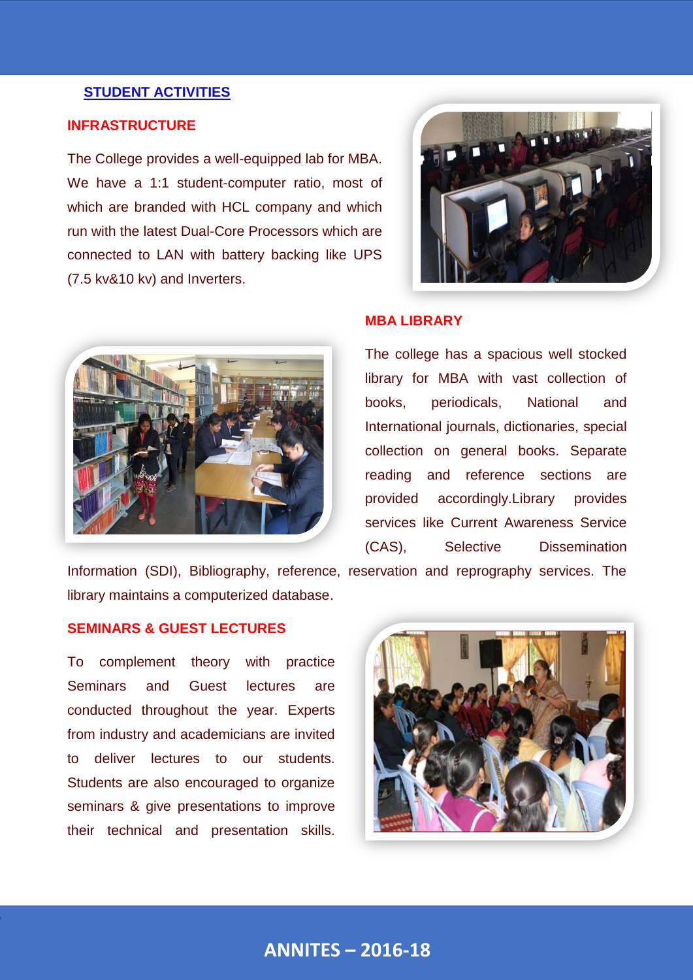#### **STUDENT ACTIVITIES**

#### **INFRASTRUCTURE**

The College provides a well-equipped lab for MBA. We have a 1:1 student-computer ratio, most of which are branded with HCL company and which run with the latest Dual-Core Processors which are connected to LAN with battery backing like UPS (7.5 kv&10 kv) and Inverters.





#### **MBA LIBRARY**

The college has a spacious well stocked library for MBA with vast collection of books, periodicals, National and International journals, dictionaries, special collection on general books. Separate reading and reference sections are provided accordingly.Library provides services like Current Awareness Service (CAS), Selective Dissemination

Information (SDI), Bibliography, reference, reservation and reprography services. The library maintains a computerized database.

#### **SEMINARS & GUEST LECTURES**

To complement theory with practice Seminars and Guest lectures are conducted throughout the year. Experts from industry and academicians are invited to deliver lectures to our students. Students are also encouraged to organize seminars & give presentations to improve their technical and presentation skills.

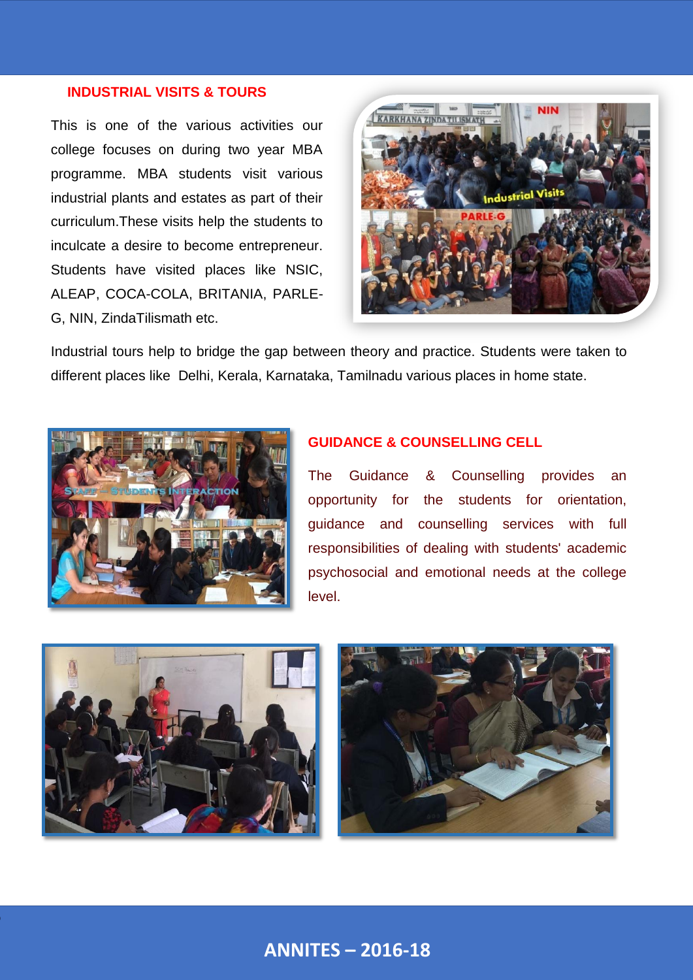#### **INDUSTRIAL VISITS & TOURS**

This is one of the various activities our college focuses on during two year MBA programme. MBA students visit various industrial plants and estates as part of their curriculum.These visits help the students to inculcate a desire to become entrepreneur. Students have visited places like NSIC, ALEAP, COCA-COLA, BRITANIA, PARLE-G, NIN, ZindaTilismath etc.



Industrial tours help to bridge the gap betw[een theory and practice. Students were taken to](http://stannsmallapur.in/gallary.php?event=B)  different places like Delhi, Kerala, Karnataka, Tamilnadu various places in home state.



#### **GUIDANCE & COUNSELLING CELL**

The Guidance & Counselling provides an opportunity for the students for orientation, guidance and counselling services with full responsibilities of dealing with students' academic psychosocial and emotional needs at the college level.



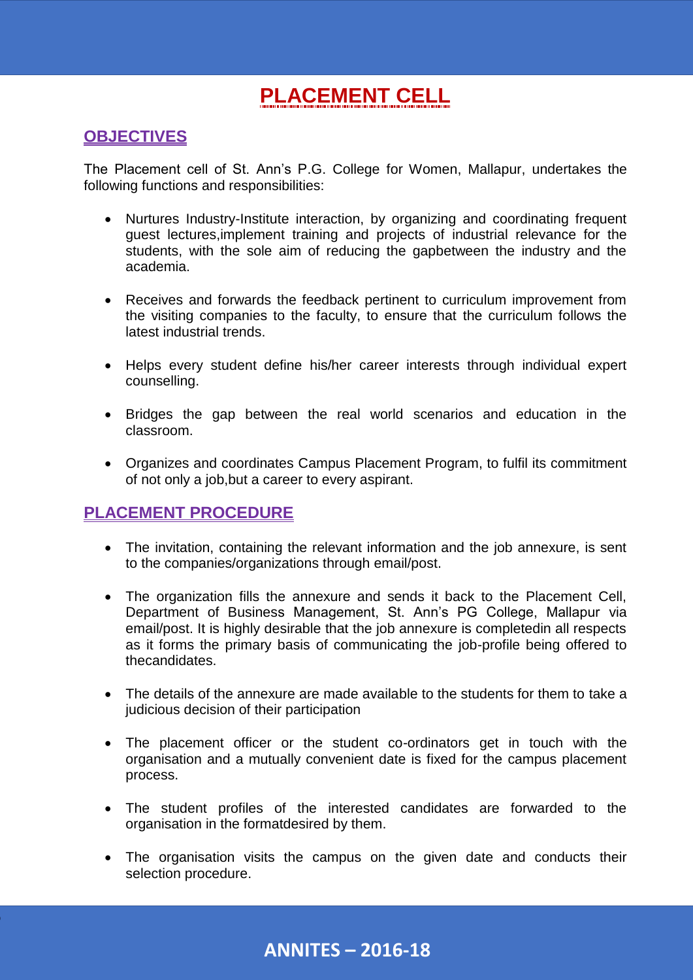# **PLACEMENT CELL**

## **OBJECTIVES**

The Placement cell of St. Ann's P.G. College for Women, Mallapur, undertakes the following functions and responsibilities:

- Nurtures Industry-Institute interaction, by organizing and coordinating frequent guest lectures,implement training and projects of industrial relevance for the students, with the sole aim of reducing the gapbetween the industry and the academia.
- Receives and forwards the feedback pertinent to curriculum improvement from the visiting companies to the faculty, to ensure that the curriculum follows the latest industrial trends.
- Helps every student define his/her career interests through individual expert counselling.
- Bridges the gap between the real world scenarios and education in the classroom.
- Organizes and coordinates Campus Placement Program, to fulfil its commitment of not only a job,but a career to every aspirant.

### **PLACEMENT PROCEDURE**

- The invitation, containing the relevant information and the job annexure, is sent to the companies/organizations through email/post.
- The organization fills the annexure and sends it back to the Placement Cell, Department of Business Management, St. Ann's PG College, Mallapur via email/post. It is highly desirable that the job annexure is completedin all respects as it forms the primary basis of communicating the job-profile being offered to thecandidates.
- The details of the annexure are made available to the students for them to take a judicious decision of their participation
- The placement officer or the student co-ordinators get in touch with the organisation and a mutually convenient date is fixed for the campus placement process.
- The student profiles of the interested candidates are forwarded to the organisation in the formatdesired by them.
- The organisation visits the campus on the given date and conducts their selection procedure.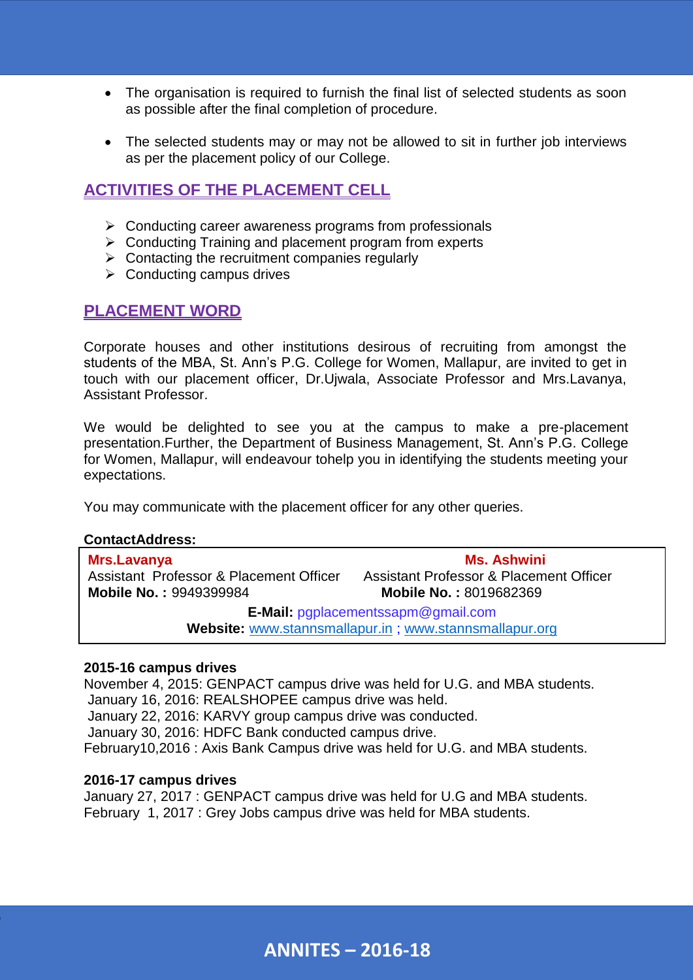- The organisation is required to furnish the final list of selected students as soon as possible after the final completion of procedure.
- The selected students may or may not be allowed to sit in further job interviews as per the placement policy of our College.

### **ACTIVITIES OF THE PLACEMENT CELL**

- $\triangleright$  Conducting career awareness programs from professionals
- $\triangleright$  Conducting Training and placement program from experts
- $\triangleright$  Contacting the recruitment companies regularly
- $\triangleright$  Conducting campus drives

### **PLACEMENT WORD**

Corporate houses and other institutions desirous of recruiting from amongst the students of the MBA, St. Ann's P.G. College for Women, Mallapur, are invited to get in touch with our placement officer, Dr.Ujwala, Associate Professor and Mrs.Lavanya, Assistant Professor.

We would be delighted to see you at the campus to make a pre-placement presentation.Further, the Department of Business Management, St. Ann's P.G. College for Women, Mallapur, will endeavour tohelp you in identifying the students meeting your expectations.

You may communicate with the placement officer for any other queries.

#### **ContactAddress:**

| Mrs.Lavanya                                             | <b>Ms. Ashwini</b>                      |  |  |
|---------------------------------------------------------|-----------------------------------------|--|--|
| Assistant Professor & Placement Officer                 | Assistant Professor & Placement Officer |  |  |
| <b>Mobile No.: 9949399984</b>                           | <b>Mobile No.: 8019682369</b>           |  |  |
| <b>E-Mail: pgplacementssapm@gmail.com</b>               |                                         |  |  |
| Website: www.stannsmallapur.in ; www.stannsmallapur.org |                                         |  |  |

#### **2015-16 campus drives**

November 4, 2015: GENPACT campus drive was held for U.G. and MBA students. January 16, 2016: REALSHOPEE campus drive was held. January 22, 2016: KARVY group campus drive was conducted. January 30, 2016: HDFC Bank conducted campus drive. February10,2016 : Axis Bank Campus drive was held for U.G. and MBA students.

#### **2016-17 campus drives**

January 27, 2017 : GENPACT campus drive was held for U.G and MBA students. February 1, 2017 : Grey Jobs campus drive was held for MBA students.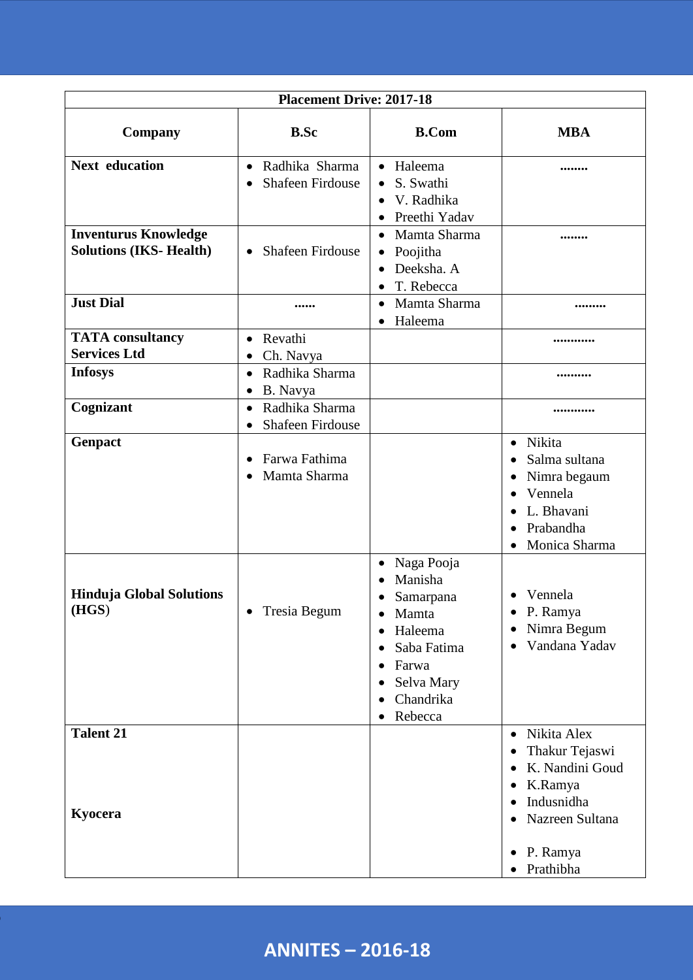| <b>Placement Drive: 2017-18</b>                              |                                                              |                                                                                                                                                     |                                                                                                                                                                                                          |  |
|--------------------------------------------------------------|--------------------------------------------------------------|-----------------------------------------------------------------------------------------------------------------------------------------------------|----------------------------------------------------------------------------------------------------------------------------------------------------------------------------------------------------------|--|
| <b>Company</b>                                               | <b>B.Sc</b>                                                  | <b>B.Com</b>                                                                                                                                        | <b>MBA</b>                                                                                                                                                                                               |  |
| <b>Next education</b>                                        | Radhika Sharma<br>$\bullet$<br><b>Shafeen Firdouse</b>       | Haleema<br>$\bullet$<br>S. Swathi<br>$\bullet$<br>V. Radhika<br>$\bullet$<br>Preethi Yadav                                                          |                                                                                                                                                                                                          |  |
| <b>Inventurus Knowledge</b><br><b>Solutions (IKS-Health)</b> | <b>Shafeen Firdouse</b><br>$\bullet$                         | Mamta Sharma<br>$\bullet$<br>Poojitha<br>$\bullet$<br>Deeksha. A<br>$\bullet$<br>T. Rebecca<br>$\bullet$                                            |                                                                                                                                                                                                          |  |
| <b>Just Dial</b>                                             |                                                              | Mamta Sharma<br>$\bullet$<br>Haleema<br>$\bullet$                                                                                                   |                                                                                                                                                                                                          |  |
| <b>TATA</b> consultancy<br><b>Services Ltd</b>               | Revathi<br>$\bullet$<br>Ch. Navya<br>٠                       |                                                                                                                                                     |                                                                                                                                                                                                          |  |
| <b>Infosys</b>                                               | Radhika Sharma<br>$\bullet$<br>B. Navya<br>$\bullet$         |                                                                                                                                                     |                                                                                                                                                                                                          |  |
| Cognizant                                                    | Radhika Sharma<br>$\bullet$<br>Shafeen Firdouse<br>$\bullet$ |                                                                                                                                                     |                                                                                                                                                                                                          |  |
| Genpact                                                      | Farwa Fathima<br>$\bullet$<br>Mamta Sharma<br>$\bullet$      |                                                                                                                                                     | Nikita<br>$\bullet$<br>Salma sultana<br>$\bullet$<br>Nimra begaum<br>٠<br>Vennela<br>$\bullet$<br>L. Bhavani<br>$\bullet$<br>Prabandha<br>$\bullet$<br>Monica Sharma                                     |  |
| <b>Hinduja Global Solutions</b><br>(HGS)                     | Tresia Begum<br>$\bullet$                                    | Naga Pooja<br>Manisha<br>Samarpana<br>Mamta<br>$\bullet$<br>Haleema<br>Saba Fatima<br>٠<br>Farwa<br>Selva Mary<br>Chandrika<br>$\bullet$<br>Rebecca | Vennela<br>$\bullet$<br>P. Ramya<br>Nimra Begum<br>٠<br>Vandana Yadav                                                                                                                                    |  |
| <b>Talent 21</b><br>Kyocera                                  |                                                              |                                                                                                                                                     | Nikita Alex<br>$\bullet$<br>Thakur Tejaswi<br>٠<br>K. Nandini Goud<br>$\bullet$<br>K.Ramya<br>$\bullet$<br>Indusnidha<br>$\bullet$<br>Nazreen Sultana<br>P. Ramya<br>$\bullet$<br>Prathibha<br>$\bullet$ |  |